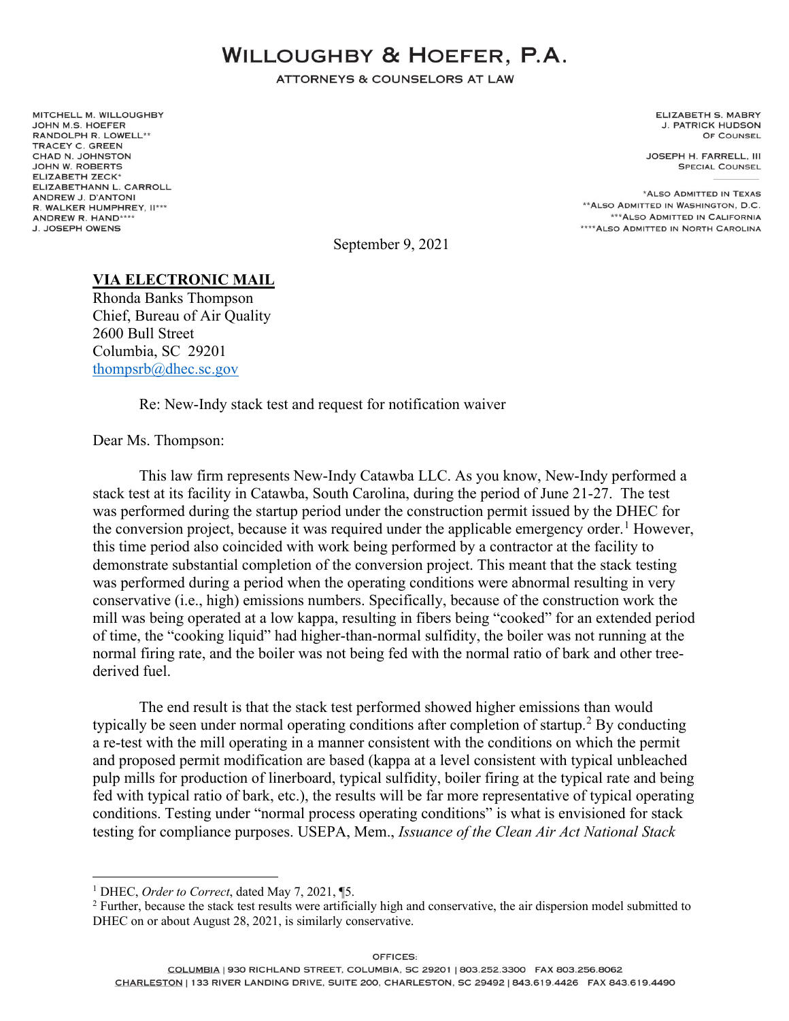## **WILLOUGHBY & HOEFER, P.A.**

**ATTORNEYS & COUNSELORS AT LAW** 

MITCHELL M. WILLOUGHBY JOHN M.S. HOEFER RANDOLPH R. LOWELL\*\* **TRACEY C. GREEN** CHAD N. JOHNSTON JOHN W. ROBERTS ELIZABETH ZECK\* ELIZABETHANN L. CARROLL ANDREW J. D'ANTONI R. WALKER HUMPHREY, II\*\*\* ANDREW R. HAND\*\*\*\* **J. JOSEPH OWENS** 

**ELIZABETH S. MABRY J. PATRICK HUDSON** OF COUNSEL

JOSEPH H. FARRELL, III **SPECIAL COUNSEL** 

\*ALSO ADMITTED IN TEXAS \*\* ALSO ADMITTED IN WASHINGTON, D.C. \*\*\* ALSO ADMITTED IN CALIFORNIA \*\*\*\* ALSO ADMITTED IN NORTH CAROLINA

September 9, 2021

## **VIA ELECTRONIC MAIL**

Rhonda Banks Thompson Chief, Bureau of Air Quality 2600 Bull Street Columbia, SC 29201 [thompsrb@dhec.sc.gov](mailto:thompsrb@dhec.sc.gov)

Re: New-Indy stack test and request for notification waiver

Dear Ms. Thompson:

This law firm represents New-Indy Catawba LLC. As you know, New-Indy performed a stack test at its facility in Catawba, South Carolina, during the period of June 21-27. The test was performed during the startup period under the construction permit issued by the DHEC for the conversion project, because it was required under the applicable emergency order.<sup>[1](#page-0-0)</sup> However, this time period also coincided with work being performed by a contractor at the facility to demonstrate substantial completion of the conversion project. This meant that the stack testing was performed during a period when the operating conditions were abnormal resulting in very conservative (i.e., high) emissions numbers. Specifically, because of the construction work the mill was being operated at a low kappa, resulting in fibers being "cooked" for an extended period of time, the "cooking liquid" had higher-than-normal sulfidity, the boiler was not running at the normal firing rate, and the boiler was not being fed with the normal ratio of bark and other treederived fuel.

The end result is that the stack test performed showed higher emissions than would typically be seen under normal operating conditions after completion of startup.<sup>[2](#page-0-1)</sup> By conducting a re-test with the mill operating in a manner consistent with the conditions on which the permit and proposed permit modification are based (kappa at a level consistent with typical unbleached pulp mills for production of linerboard, typical sulfidity, boiler firing at the typical rate and being fed with typical ratio of bark, etc.), the results will be far more representative of typical operating conditions. Testing under "normal process operating conditions" is what is envisioned for stack testing for compliance purposes. USEPA, Mem., *Issuance of the Clean Air Act National Stack* 

<span id="page-0-0"></span><sup>1</sup> DHEC, *Order to Correct*, dated May 7, 2021, ¶5.

<span id="page-0-1"></span><sup>&</sup>lt;sup>2</sup> Further, because the stack test results were artificially high and conservative, the air dispersion model submitted to DHEC on or about August 28, 2021, is similarly conservative.